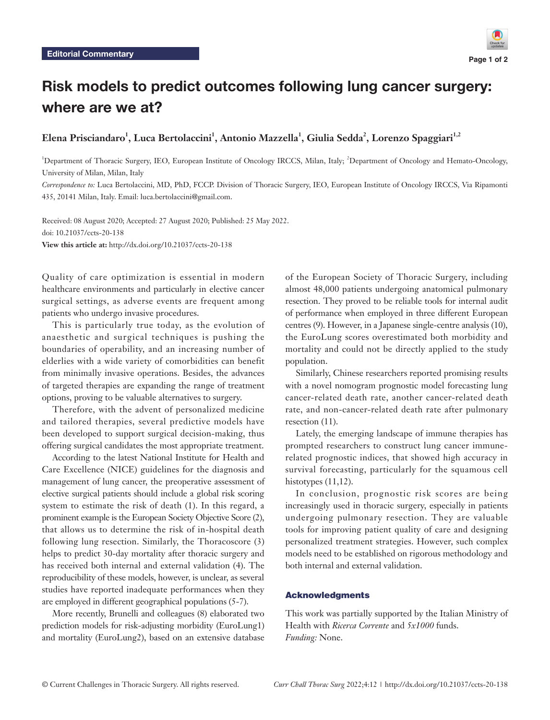# Risk models to predict outcomes following lung cancer surgery: where are we at?

**Elena Prisciandaro1 , Luca Bertolaccini1 , Antonio Mazzella1 , Giulia Sedda2 , Lorenzo Spaggiari1,2**

<sup>1</sup>Department of Thoracic Surgery, IEO, European Institute of Oncology IRCCS, Milan, Italy; <sup>2</sup>Department of Oncology and Hemato-Oncology, University of Milan, Milan, Italy

*Correspondence to:* Luca Bertolaccini, MD, PhD, FCCP. Division of Thoracic Surgery, IEO, European Institute of Oncology IRCCS, Via Ripamonti 435, 20141 Milan, Italy. Email: luca.bertolaccini@gmail.com.

Received: 08 August 2020; Accepted: 27 August 2020; Published: 25 May 2022. doi: 10.21037/ccts-20-138 **View this article at:** http://dx.doi.org/10.21037/ccts-20-138

Quality of care optimization is essential in modern healthcare environments and particularly in elective cancer surgical settings, as adverse events are frequent among patients who undergo invasive procedures.

This is particularly true today, as the evolution of anaesthetic and surgical techniques is pushing the boundaries of operability, and an increasing number of elderlies with a wide variety of comorbidities can benefit from minimally invasive operations. Besides, the advances of targeted therapies are expanding the range of treatment options, proving to be valuable alternatives to surgery.

Therefore, with the advent of personalized medicine and tailored therapies, several predictive models have been developed to support surgical decision-making, thus offering surgical candidates the most appropriate treatment.

According to the latest National Institute for Health and Care Excellence (NICE) guidelines for the diagnosis and management of lung cancer, the preoperative assessment of elective surgical patients should include a global risk scoring system to estimate the risk of death (1). In this regard, a prominent example is the European Society Objective Score (2), that allows us to determine the risk of in-hospital death following lung resection. Similarly, the Thoracoscore (3) helps to predict 30-day mortality after thoracic surgery and has received both internal and external validation (4). The reproducibility of these models, however, is unclear, as several studies have reported inadequate performances when they are employed in different geographical populations (5-7).

More recently, Brunelli and colleagues (8) elaborated two prediction models for risk-adjusting morbidity (EuroLung1) and mortality (EuroLung2), based on an extensive database of the European Society of Thoracic Surgery, including almost 48,000 patients undergoing anatomical pulmonary resection. They proved to be reliable tools for internal audit of performance when employed in three different European centres (9). However, in a Japanese single-centre analysis (10), the EuroLung scores overestimated both morbidity and mortality and could not be directly applied to the study population.

Similarly, Chinese researchers reported promising results with a novel nomogram prognostic model forecasting lung cancer-related death rate, another cancer-related death rate, and non-cancer-related death rate after pulmonary resection (11).

Lately, the emerging landscape of immune therapies has prompted researchers to construct lung cancer immunerelated prognostic indices, that showed high accuracy in survival forecasting, particularly for the squamous cell histotypes (11,12).

In conclusion, prognostic risk scores are being increasingly used in thoracic surgery, especially in patients undergoing pulmonary resection. They are valuable tools for improving patient quality of care and designing personalized treatment strategies. However, such complex models need to be established on rigorous methodology and both internal and external validation.

### Acknowledgments

This work was partially supported by the Italian Ministry of Health with *Ricerca Corrente* and *5x1000* funds. *Funding:* None.